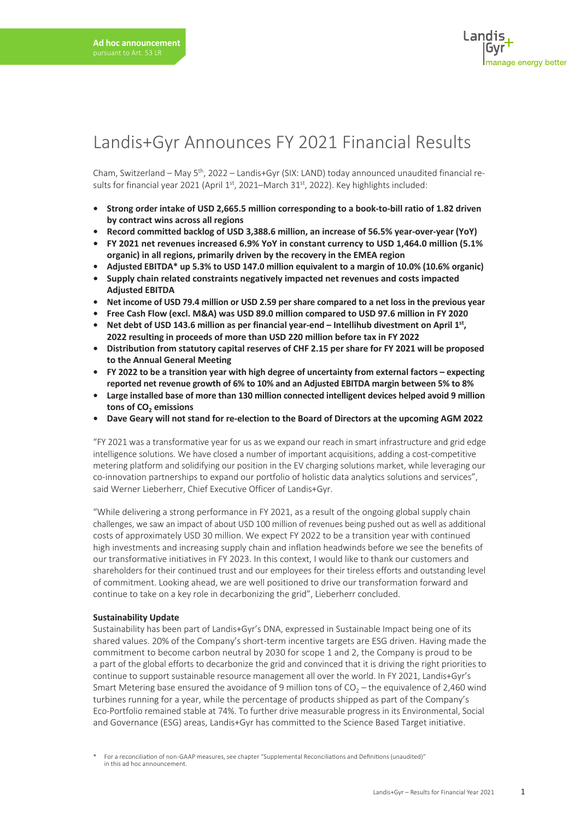### Landis+Gyr Announces FY 2021 Financial Results

Cham, Switzerland – May 5th, 2022 – Landis+Gyr (SIX: LAND) today announced unaudited financial results for financial year 2021 (April 1st, 2021–March 31st, 2022). Key highlights included:

- **• Strong order intake of USD 2,665.5 million corresponding to a book-to-bill ratio of 1.82 driven by contract wins across all regions**
- **• Record committed backlog of USD 3,388.6 million, an increase of 56.5% year-over-year (YoY)**
- **• FY 2021 net revenues increased 6.9% YoY in constant currency to USD 1,464.0 million (5.1% organic) in all regions, primarily driven by the recovery in the EMEA region**
- **• Adjusted EBITDA\* up 5.3% to USD 147.0 million equivalent to a margin of 10.0% (10.6% organic)**
- **• Supply chain related constraints negatively impacted net revenues and costs impacted Adjusted EBITDA**
- **• Net income of USD 79.4 million or USD 2.59 per share compared to a net loss in the previous year**
- **• Free Cash Flow (excl. M&A) was USD 89.0 million compared to USD 97.6 million in FY 2020**
- **• Net debt of USD 143.6 million as per financial year-end Intellihub divestment on April 1st, 2022 resulting in proceeds of more than USD 220 million before tax in FY 2022**
- **• Distribution from statutory capital reserves of CHF 2.15 per share for FY 2021 will be proposed to the Annual General Meeting**
- **• FY 2022 to be a transition year with high degree of uncertainty from external factors expecting reported net revenue growth of 6% to 10% and an Adjusted EBITDA margin between 5% to 8%**
- **• Large installed base of more than 130 million connected intelligent devices helped avoid 9 million**  tons of CO<sub>2</sub> emissions
- **• Dave Geary will not stand for re-election to the Board of Directors at the upcoming AGM 2022**

"FY 2021 was a transformative year for us as we expand our reach in smart infrastructure and grid edge intelligence solutions. We have closed a number of important acquisitions, adding a cost-competitive metering platform and solidifying our position in the EV charging solutions market, while leveraging our co-innovation partnerships to expand our portfolio of holistic data analytics solutions and services", said Werner Lieberherr, Chief Executive Officer of Landis+Gyr.

"While delivering a strong performance in FY 2021, as a result of the ongoing global supply chain challenges, we saw an impact of about USD 100 million of revenues being pushed out as well as additional costs of approximately USD 30 million. We expect FY 2022 to be a transition year with continued high investments and increasing supply chain and inflation headwinds before we see the benefits of our transformative initiatives in FY 2023. In this context, I would like to thank our customers and shareholders for their continued trust and our employees for their tireless efforts and outstanding level of commitment. Looking ahead, we are well positioned to drive our transformation forward and continue to take on a key role in decarbonizing the grid", Lieberherr concluded.

#### **Sustainability Update**

Sustainability has been part of Landis+Gyr's DNA, expressed in Sustainable Impact being one of its shared values. 20% of the Company's short-term incentive targets are ESG driven. Having made the commitment to become carbon neutral by 2030 for scope 1 and 2, the Company is proud to be a part of the global efforts to decarbonize the grid and convinced that it is driving the right priorities to continue to support sustainable resource management all over the world. In FY 2021, Landis+Gyr's Smart Metering base ensured the avoidance of 9 million tons of  $CO<sub>2</sub> -$  the equivalence of 2,460 wind turbines running for a year, while the percentage of products shipped as part of the Company's Eco-Portfolio remained stable at 74%. To further drive measurable progress in its Environmental, Social and Governance (ESG) areas, Landis+Gyr has committed to the Science Based Target initiative.

<sup>\*</sup> For a reconciliation of non-GAAP measures, see chapter "Supplemental Reconciliations and Definitions (unaudited)" in this ad hoc announcement.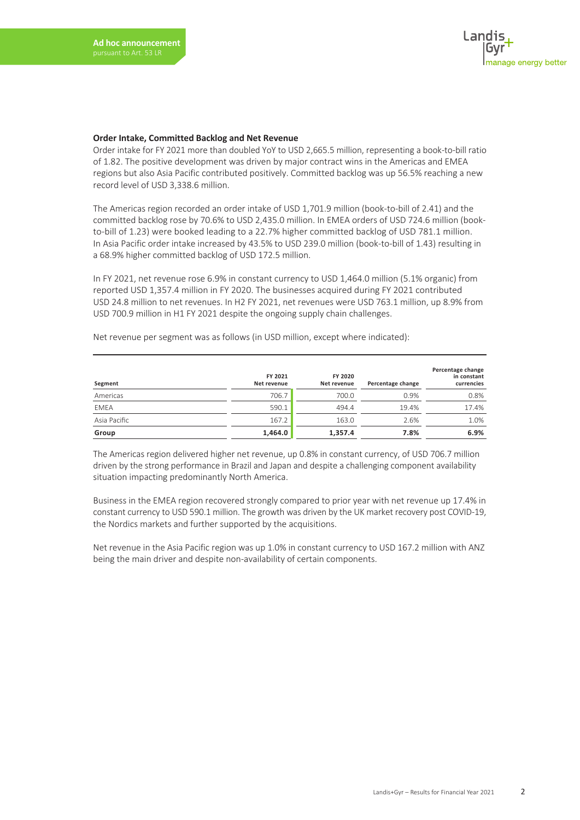#### **Order Intake, Committed Backlog and Net Revenue**

Order intake for FY 2021 more than doubled YoY to USD 2,665.5 million, representing a book-to-bill ratio of 1.82. The positive development was driven by major contract wins in the Americas and EMEA regions but also Asia Pacific contributed positively. Committed backlog was up 56.5% reaching a new record level of USD 3,338.6 million.

The Americas region recorded an order intake of USD 1,701.9 million (book-to-bill of 2.41) and the committed backlog rose by 70.6% to USD 2,435.0 million. In EMEA orders of USD 724.6 million (bookto-bill of 1.23) were booked leading to a 22.7% higher committed backlog of USD 781.1 million. In Asia Pacific order intake increased by 43.5% to USD 239.0 million (book-to-bill of 1.43) resulting in a 68.9% higher committed backlog of USD 172.5 million.

In FY 2021, net revenue rose 6.9% in constant currency to USD 1,464.0 million (5.1% organic) from reported USD 1,357.4 million in FY 2020. The businesses acquired during FY 2021 contributed USD 24.8 million to net revenues. In H2 FY 2021, net revenues were USD 763.1 million, up 8.9% from USD 700.9 million in H1 FY 2021 despite the ongoing supply chain challenges.

| Segment      | FY 2021<br>Net revenue | FY 2020<br>Net revenue | Percentage change | Percentage change<br>in constant<br>currencies |
|--------------|------------------------|------------------------|-------------------|------------------------------------------------|
| Americas     | 706.7                  | 700.0                  | 0.9%              | 0.8%                                           |
| <b>EMEA</b>  | 590.1                  | 494.4                  | 19.4%             | 17.4%                                          |
| Asia Pacific | 167.2                  | 163.0                  | 2.6%              | 1.0%                                           |
| Group        | 1,464.0                | 1,357.4                | 7.8%              | 6.9%                                           |

Net revenue per segment was as follows (in USD million, except where indicated):

The Americas region delivered higher net revenue, up 0.8% in constant currency, of USD 706.7 million driven by the strong performance in Brazil and Japan and despite a challenging component availability situation impacting predominantly North America.

Business in the EMEA region recovered strongly compared to prior year with net revenue up 17.4% in constant currency to USD 590.1 million. The growth was driven by the UK market recovery post COVID-19, the Nordics markets and further supported by the acquisitions.

Net revenue in the Asia Pacific region was up 1.0% in constant currency to USD 167.2 million with ANZ being the main driver and despite non-availability of certain components.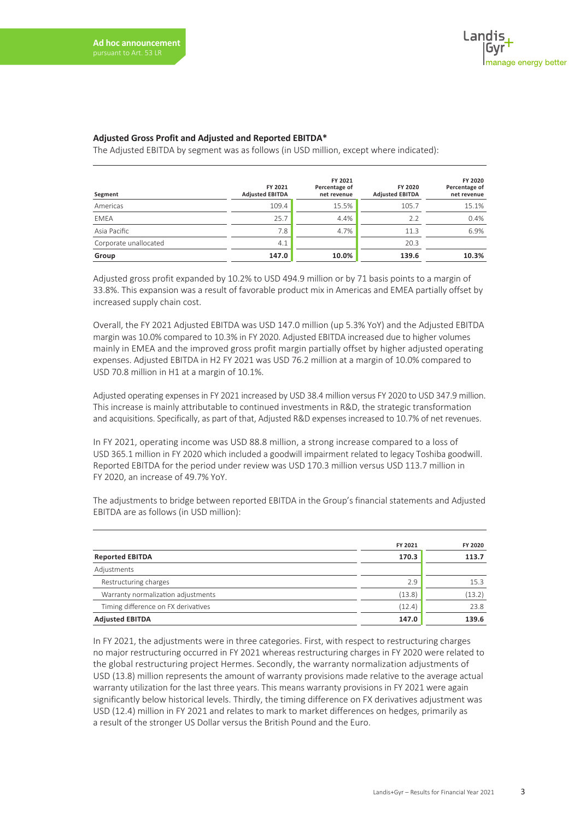#### **Adjusted Gross Profit and Adjusted and Reported EBITDA\***

The Adjusted EBITDA by segment was as follows (in USD million, except where indicated):

| Segment               | FY 2021<br><b>Adjusted EBITDA</b> | FY 2021<br>Percentage of<br>net revenue | FY 2020<br><b>Adjusted EBITDA</b> | FY 2020<br>Percentage of<br>net revenue |
|-----------------------|-----------------------------------|-----------------------------------------|-----------------------------------|-----------------------------------------|
| Americas              | 109.4                             | 15.5%                                   | 105.7                             | 15.1%                                   |
| <b>EMEA</b>           | 25.7                              | 4.4%                                    | 7.7                               | 0.4%                                    |
| Asia Pacific          | 7.8                               | 4.7%                                    | 11.3                              | 6.9%                                    |
| Corporate unallocated | 4.1                               |                                         | 20.3                              |                                         |
| Group                 | 147.0                             | 10.0%                                   | 139.6                             | 10.3%                                   |

Adjusted gross profit expanded by 10.2% to USD 494.9 million or by 71 basis points to a margin of 33.8%. This expansion was a result of favorable product mix in Americas and EMEA partially offset by increased supply chain cost.

Overall, the FY 2021 Adjusted EBITDA was USD 147.0 million (up 5.3% YoY) and the Adjusted EBITDA margin was 10.0% compared to 10.3% in FY 2020. Adjusted EBITDA increased due to higher volumes mainly in EMEA and the improved gross profit margin partially offset by higher adjusted operating expenses. Adjusted EBITDA in H2 FY 2021 was USD 76.2 million at a margin of 10.0% compared to USD 70.8 million in H1 at a margin of 10.1%.

Adjusted operating expenses in FY 2021 increased by USD 38.4 million versus FY 2020 to USD 347.9 million. This increase is mainly attributable to continued investments in R&D, the strategic transformation and acquisitions. Specifically, as part of that, Adjusted R&D expenses increased to 10.7% of net revenues.

In FY 2021, operating income was USD 88.8 million, a strong increase compared to a loss of USD 365.1 million in FY 2020 which included a goodwill impairment related to legacy Toshiba goodwill. Reported EBITDA for the period under review was USD 170.3 million versus USD 113.7 million in FY 2020, an increase of 49.7% YoY.

The adjustments to bridge between reported EBITDA in the Group's financial statements and Adjusted EBITDA are as follows (in USD million):

|                                     | FY 2021 | FY 2020 |
|-------------------------------------|---------|---------|
| <b>Reported EBITDA</b>              | 170.3   | 113.7   |
| Adjustments                         |         |         |
| Restructuring charges               | 2.9     | 15.3    |
| Warranty normalization adjustments  | (13.8)  | (13.2)  |
| Timing difference on FX derivatives | (12.4)  | 23.8    |
| <b>Adjusted EBITDA</b>              | 147.0   | 139.6   |

In FY 2021, the adjustments were in three categories. First, with respect to restructuring charges no major restructuring occurred in FY 2021 whereas restructuring charges in FY 2020 were related to the global restructuring project Hermes. Secondly, the warranty normalization adjustments of USD (13.8) million represents the amount of warranty provisions made relative to the average actual warranty utilization for the last three years. This means warranty provisions in FY 2021 were again significantly below historical levels. Thirdly, the timing difference on FX derivatives adjustment was USD (12.4) million in FY 2021 and relates to mark to market differences on hedges, primarily as a result of the stronger US Dollar versus the British Pound and the Euro.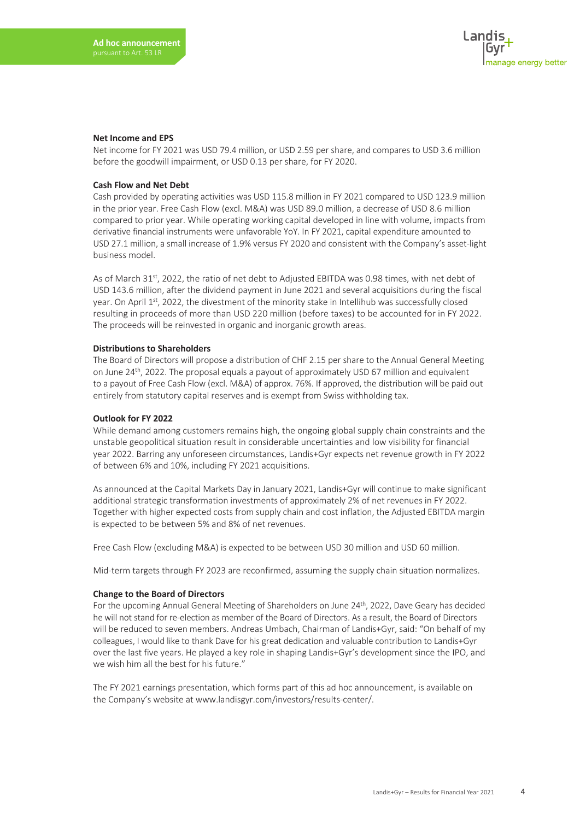#### **Net Income and EPS**

Net income for FY 2021 was USD 79.4 million, or USD 2.59 per share, and compares to USD 3.6 million before the goodwill impairment, or USD 0.13 per share, for FY 2020.

#### **Cash Flow and Net Debt**

Cash provided by operating activities was USD 115.8 million in FY 2021 compared to USD 123.9 million in the prior year. Free Cash Flow (excl. M&A) was USD 89.0 million, a decrease of USD 8.6 million compared to prior year. While operating working capital developed in line with volume, impacts from derivative financial instruments were unfavorable YoY. In FY 2021, capital expenditure amounted to USD 27.1 million, a small increase of 1.9% versus FY 2020 and consistent with the Company's asset-light business model.

As of March 31<sup>st</sup>, 2022, the ratio of net debt to Adjusted EBITDA was 0.98 times, with net debt of USD 143.6 million, after the dividend payment in June 2021 and several acquisitions during the fiscal year. On April 1st, 2022, the divestment of the minority stake in Intellihub was successfully closed resulting in proceeds of more than USD 220 million (before taxes) to be accounted for in FY 2022. The proceeds will be reinvested in organic and inorganic growth areas.

#### **Distributions to Shareholders**

The Board of Directors will propose a distribution of CHF 2.15 per share to the Annual General Meeting on June 24<sup>th</sup>, 2022. The proposal equals a payout of approximately USD 67 million and equivalent to a payout of Free Cash Flow (excl. M&A) of approx. 76%. If approved, the distribution will be paid out entirely from statutory capital reserves and is exempt from Swiss withholding tax.

#### **Outlook for FY 2022**

While demand among customers remains high, the ongoing global supply chain constraints and the unstable geopolitical situation result in considerable uncertainties and low visibility for financial year 2022. Barring any unforeseen circumstances, Landis+Gyr expects net revenue growth in FY 2022 of between 6% and 10%, including FY 2021 acquisitions.

As announced at the Capital Markets Day in January 2021, Landis+Gyr will continue to make significant additional strategic transformation investments of approximately 2% of net revenues in FY 2022. Together with higher expected costs from supply chain and cost inflation, the Adjusted EBITDA margin is expected to be between 5% and 8% of net revenues.

Free Cash Flow (excluding M&A) is expected to be between USD 30 million and USD 60 million.

Mid-term targets through FY 2023 are reconfirmed, assuming the supply chain situation normalizes.

#### **Change to the Board of Directors**

For the upcoming Annual General Meeting of Shareholders on June 24<sup>th</sup>, 2022, Dave Geary has decided he will not stand for re-election as member of the Board of Directors. As a result, the Board of Directors will be reduced to seven members. Andreas Umbach, Chairman of Landis+Gyr, said: "On behalf of my colleagues, I would like to thank Dave for his great dedication and valuable contribution to Landis+Gyr over the last five years. He played a key role in shaping Landis+Gyr's development since the IPO, and we wish him all the best for his future."

The FY 2021 earnings presentation, which forms part of this ad hoc announcement, is available on the Company's website at www.landisgyr.com/investors/results-center/.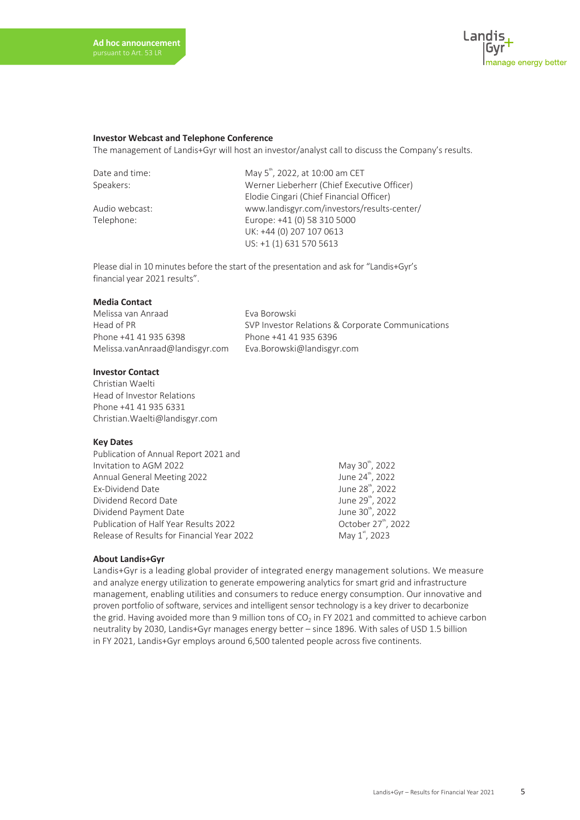

#### **Investor Webcast and Telephone Conference**

The management of Landis+Gyr will host an investor/analyst call to discuss the Company's results.

Date and time: May 5<sup>th</sup>, 2022, at 10:00 am CET Speakers: Werner Lieberherr (Chief Executive Officer) Elodie Cingari (Chief Financial Officer) Audio webcast: www.landisgyr.com/investors/results-center/ Telephone: Europe: +41 (0) 58 310 5000 UK: +44 (0) 207 107 0613 US: +1 (1) 631 570 5613

Please dial in 10 minutes before the start of the presentation and ask for "Landis+Gyr's financial year 2021 results".

#### **Media Contact**

Melissa van Anraad Eva Borowski Phone +41 41 935 6398 Phone +41 41 935 6396 Melissa.vanAnraad@landisgyr.com Eva.Borowski@landisgyr.com

Head of PR SVP Investor Relations & Corporate Communications

#### **Investor Contact**

Christian Waelti Head of Investor Relations Phone +41 41 935 6331 Christian.Waelti@landisgyr.com

#### **Key Dates**

| Publication of Annual Report 2021 and      |                                 |
|--------------------------------------------|---------------------------------|
| Invitation to AGM 2022                     | May 30 <sup>th</sup> , 2022     |
| Annual General Meeting 2022                | June 24 <sup>th</sup> , 2022    |
| Ex-Dividend Date                           | June 28 <sup>th</sup> , 2022    |
| Dividend Record Date                       | June 29 <sup>th</sup> , 2022    |
| Dividend Payment Date                      | June 30 <sup>th</sup> , 2022    |
| Publication of Half Year Results 2022      | October 27 <sup>th</sup> , 2022 |
| Release of Results for Financial Year 2022 | May 1 <sup>st</sup> , 2023      |

#### **About Landis+Gyr**

Landis+Gyr is a leading global provider of integrated energy management solutions. We measure and analyze energy utilization to generate empowering analytics for smart grid and infrastructure management, enabling utilities and consumers to reduce energy consumption. Our innovative and proven portfolio of software, services and intelligent sensor technology is a key driver to decarbonize the grid. Having avoided more than 9 million tons of  $CO<sub>2</sub>$  in FY 2021 and committed to achieve carbon neutrality by 2030, Landis+Gyr manages energy better – since 1896. With sales of USD 1.5 billion in FY 2021, Landis+Gyr employs around 6,500 talented people across five continents.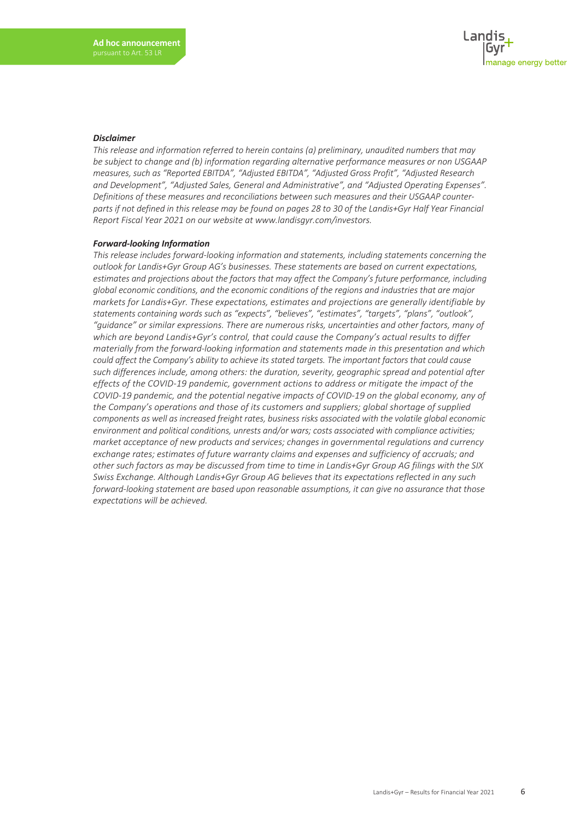#### *Disclaimer*

*This release and information referred to herein contains (a) preliminary, unaudited numbers that may be subject to change and (b) information regarding alternative performance measures or non USGAAP measures, such as "Reported EBITDA", "Adjusted EBITDA", "Adjusted Gross Profit", "Adjusted Research and Development", "Adjusted Sales, General and Administrative", and "Adjusted Operating Expenses". Definitions of these measures and reconciliations between such measures and their USGAAP counterparts if not defined in this release may be found on pages 28 to 30 of the Landis+Gyr Half Year Financial Report Fiscal Year 2021 on our website at www.landisgyr.com/investors.*

#### *Forward-looking Information*

*This release includes forward-looking information and statements, including statements concerning the outlook for Landis+Gyr Group AG's businesses. These statements are based on current expectations, estimates and projections about the factors that may affect the Company's future performance, including global economic conditions, and the economic conditions of the regions and industries that are major markets for Landis+Gyr. These expectations, estimates and projections are generally identifiable by statements containing words such as "expects", "believes", "estimates", "targets", "plans", "outlook", "guidance" or similar expressions. There are numerous risks, uncertainties and other factors, many of which are beyond Landis+Gyr's control, that could cause the Company's actual results to differ materially from the forward-looking information and statements made in this presentation and which could affect the Company's ability to achieve its stated targets. The important factors that could cause such differences include, among others: the duration, severity, geographic spread and potential after effects of the COVID-19 pandemic, government actions to address or mitigate the impact of the COVID-19 pandemic, and the potential negative impacts of COVID-19 on the global economy, any of the Company's operations and those of its customers and suppliers; global shortage of supplied components as well as increased freight rates, business risks associated with the volatile global economic environment and political conditions, unrests and/or wars; costs associated with compliance activities; market acceptance of new products and services; changes in governmental regulations and currency exchange rates; estimates of future warranty claims and expenses and sufficiency of accruals; and other such factors as may be discussed from time to time in Landis+Gyr Group AG filings with the SIX Swiss Exchange. Although Landis+Gyr Group AG believes that its expectations reflected in any such forward-looking statement are based upon reasonable assumptions, it can give no assurance that those expectations will be achieved.*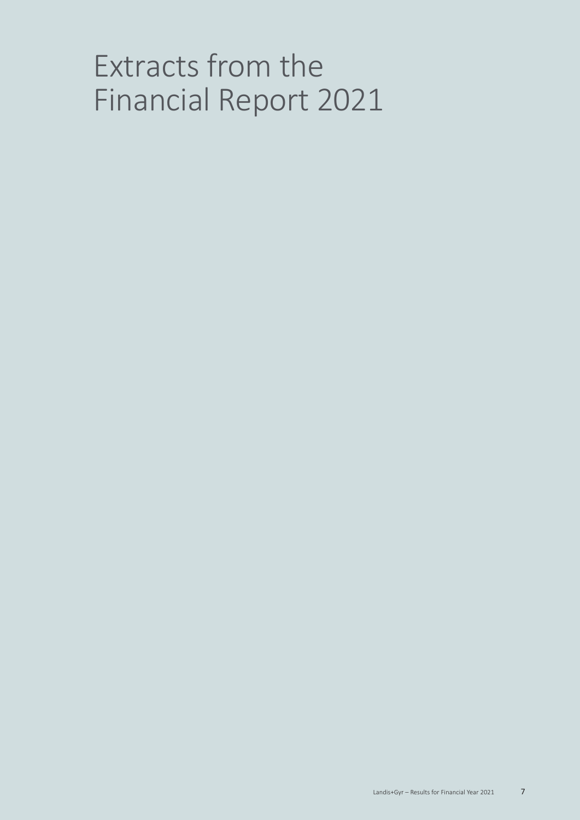# Extracts from the Financial Report 2021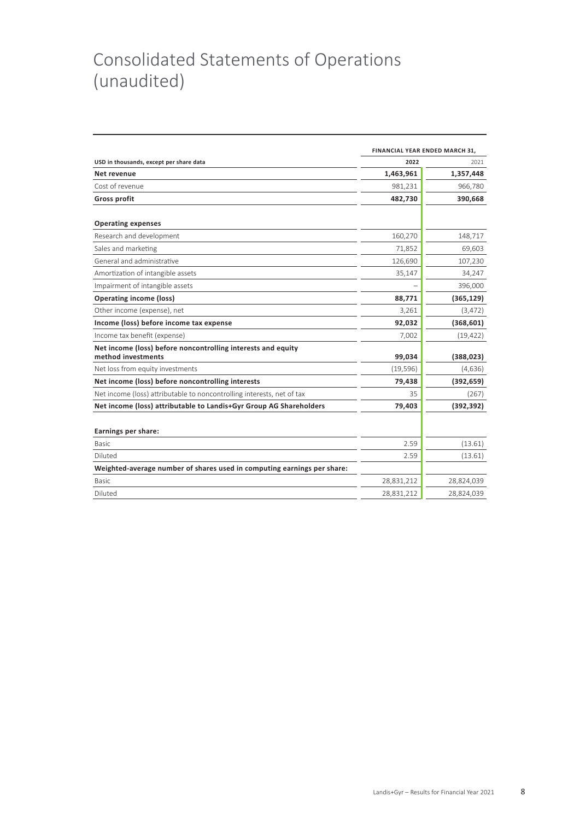## Consolidated Statements of Operations (unaudited)

|                                                                                    | FINANCIAL YEAR ENDED MARCH 31, |            |  |  |
|------------------------------------------------------------------------------------|--------------------------------|------------|--|--|
| USD in thousands, except per share data                                            | 2022                           | 2021       |  |  |
| Net revenue                                                                        | 1,463,961                      | 1,357,448  |  |  |
| Cost of revenue                                                                    | 981,231                        | 966,780    |  |  |
| <b>Gross profit</b>                                                                | 482,730                        | 390,668    |  |  |
| <b>Operating expenses</b>                                                          |                                |            |  |  |
| Research and development                                                           | 160,270                        | 148,717    |  |  |
| Sales and marketing                                                                | 71,852                         | 69,603     |  |  |
| General and administrative                                                         | 126,690                        | 107,230    |  |  |
| Amortization of intangible assets                                                  | 35,147                         | 34,247     |  |  |
| Impairment of intangible assets                                                    |                                | 396,000    |  |  |
| <b>Operating income (loss)</b>                                                     | 88,771                         | (365, 129) |  |  |
| Other income (expense), net                                                        | 3,261                          | (3, 472)   |  |  |
| Income (loss) before income tax expense                                            | 92,032                         | (368, 601) |  |  |
| Income tax benefit (expense)                                                       | 7,002                          | (19, 422)  |  |  |
| Net income (loss) before noncontrolling interests and equity<br>method investments | 99,034                         | (388, 023) |  |  |
| Net loss from equity investments                                                   | (19, 596)                      | (4,636)    |  |  |
| Net income (loss) before noncontrolling interests                                  | 79,438                         | (392, 659) |  |  |
| Net income (loss) attributable to noncontrolling interests, net of tax             | 35                             | (267)      |  |  |
| Net income (loss) attributable to Landis+Gyr Group AG Shareholders                 | 79,403                         | (392, 392) |  |  |
|                                                                                    |                                |            |  |  |
| Earnings per share:                                                                |                                |            |  |  |
| <b>Basic</b>                                                                       | 2.59                           | (13.61)    |  |  |
| Diluted                                                                            | 2.59                           | (13.61)    |  |  |
| Weighted-average number of shares used in computing earnings per share:            |                                |            |  |  |
| <b>Basic</b>                                                                       | 28,831,212                     | 28,824,039 |  |  |
| Diluted                                                                            | 28,831,212                     | 28,824,039 |  |  |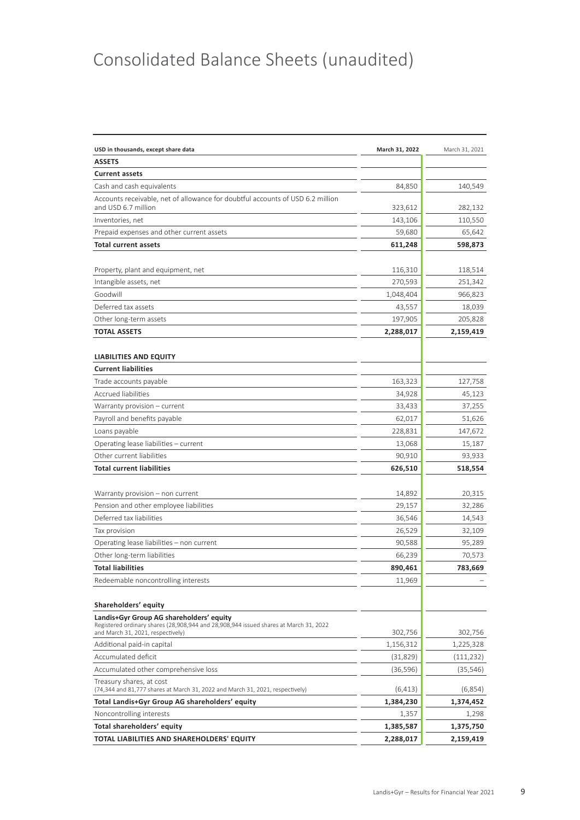## Consolidated Balance Sheets (unaudited)

| USD in thousands, except share data                                                                                               | March 31, 2022 | March 31, 2021 |
|-----------------------------------------------------------------------------------------------------------------------------------|----------------|----------------|
| <b>ASSETS</b>                                                                                                                     |                |                |
| <b>Current assets</b>                                                                                                             |                |                |
| Cash and cash equivalents                                                                                                         | 84,850         | 140,549        |
| Accounts receivable, net of allowance for doubtful accounts of USD 6.2 million<br>and USD 6.7 million                             | 323,612        | 282,132        |
| Inventories, net                                                                                                                  | 143,106        | 110,550        |
| Prepaid expenses and other current assets                                                                                         | 59,680         | 65,642         |
| <b>Total current assets</b>                                                                                                       | 611,248        | 598,873        |
|                                                                                                                                   |                |                |
| Property, plant and equipment, net                                                                                                | 116,310        | 118,514        |
| Intangible assets, net                                                                                                            | 270,593        | 251,342        |
| Goodwill                                                                                                                          | 1,048,404      | 966,823        |
| Deferred tax assets                                                                                                               | 43,557         | 18,039         |
| Other long-term assets                                                                                                            | 197,905        | 205,828        |
| <b>TOTAL ASSETS</b>                                                                                                               | 2,288,017      | 2,159,419      |
|                                                                                                                                   |                |                |
| <b>LIABILITIES AND EQUITY</b>                                                                                                     |                |                |
| <b>Current liabilities</b>                                                                                                        |                |                |
| Trade accounts payable                                                                                                            | 163,323        | 127,758        |
| <b>Accrued liabilities</b>                                                                                                        | 34,928         | 45,123         |
| Warranty provision - current                                                                                                      | 33,433         | 37,255         |
| Payroll and benefits payable                                                                                                      | 62,017         | 51,626         |
| Loans payable                                                                                                                     | 228,831        | 147,672        |
| Operating lease liabilities - current                                                                                             | 13,068         | 15,187         |
| Other current liabilities                                                                                                         | 90,910         | 93,933         |
| <b>Total current liabilities</b>                                                                                                  | 626,510        | 518,554        |
|                                                                                                                                   |                |                |
| Warranty provision - non current                                                                                                  | 14,892         | 20,315         |
| Pension and other employee liabilities                                                                                            | 29,157         | 32,286         |
| Deferred tax liabilities                                                                                                          | 36,546         | 14,543         |
| Tax provision                                                                                                                     | 26,529         | 32,109         |
| Operating lease liabilities - non current                                                                                         | 90,588         | 95,289         |
| Other long-term liabilities                                                                                                       | 66,239         | 70,573         |
| <b>Total liabilities</b>                                                                                                          | 890,461        | 783,669        |
| Redeemable noncontrolling interests                                                                                               | 11,969         |                |
|                                                                                                                                   |                |                |
| Shareholders' equity                                                                                                              |                |                |
| Landis+Gyr Group AG shareholders' equity<br>Registered ordinary shares (28,908,944 and 28,908,944 issued shares at March 31, 2022 |                |                |
| and March 31, 2021, respectively)                                                                                                 | 302,756        | 302,756        |
| Additional paid-in capital                                                                                                        | 1,156,312      | 1,225,328      |
| Accumulated deficit                                                                                                               | (31,829)       | (111, 232)     |
| Accumulated other comprehensive loss                                                                                              | (36, 596)      | (35, 546)      |
| Treasury shares, at cost<br>(74,344 and 81,777 shares at March 31, 2022 and March 31, 2021, respectively)                         | (6, 413)       | (6,854)        |
| Total Landis+Gyr Group AG shareholders' equity                                                                                    | 1,384,230      | 1,374,452      |
| Noncontrolling interests                                                                                                          | 1,357          | 1,298          |
| Total shareholders' equity                                                                                                        | 1,385,587      | 1,375,750      |
| TOTAL LIABILITIES AND SHAREHOLDERS' EQUITY                                                                                        | 2,288,017      | 2,159,419      |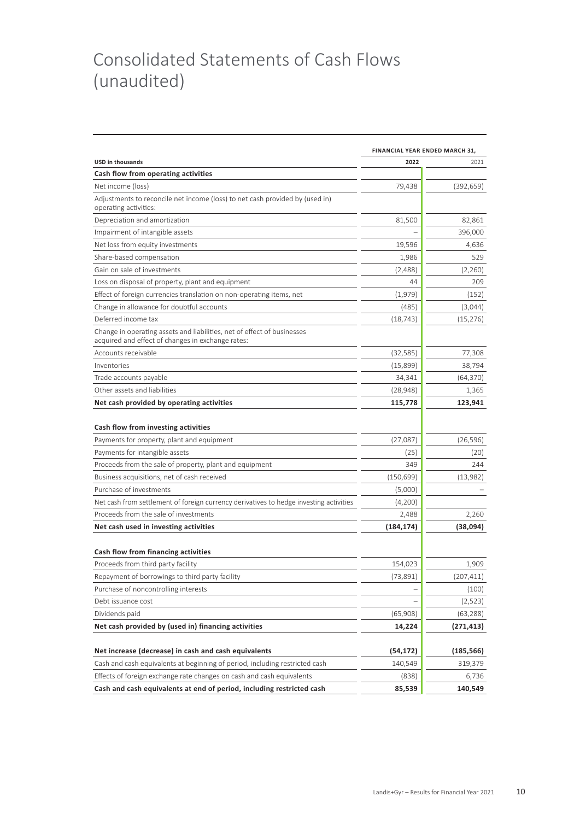## Consolidated Statements of Cash Flows (unaudited)

|                                                                                                                                                | FINANCIAL YEAR ENDED MARCH 31, |            |  |  |
|------------------------------------------------------------------------------------------------------------------------------------------------|--------------------------------|------------|--|--|
| <b>USD in thousands</b>                                                                                                                        | 2022                           | 2021       |  |  |
| Cash flow from operating activities                                                                                                            |                                |            |  |  |
| Net income (loss)                                                                                                                              | 79,438                         | (392, 659) |  |  |
| Adjustments to reconcile net income (loss) to net cash provided by (used in)<br>operating activities:                                          |                                |            |  |  |
| Depreciation and amortization                                                                                                                  | 81,500                         | 82,861     |  |  |
| Impairment of intangible assets                                                                                                                |                                | 396,000    |  |  |
| Net loss from equity investments                                                                                                               | 19,596                         | 4,636      |  |  |
| Share-based compensation                                                                                                                       | 1,986                          | 529        |  |  |
| Gain on sale of investments                                                                                                                    | (2,488)                        | (2,260)    |  |  |
| Loss on disposal of property, plant and equipment                                                                                              | 44                             | 209        |  |  |
| Effect of foreign currencies translation on non-operating items, net                                                                           | (1,979)                        | (152)      |  |  |
| Change in allowance for doubtful accounts                                                                                                      | (485)                          | (3,044)    |  |  |
| Deferred income tax                                                                                                                            | (18, 743)                      | (15, 276)  |  |  |
| Change in operating assets and liabilities, net of effect of businesses<br>acquired and effect of changes in exchange rates:                   |                                |            |  |  |
| Accounts receivable                                                                                                                            | (32, 585)                      | 77,308     |  |  |
| Inventories                                                                                                                                    | (15,899)                       | 38,794     |  |  |
| Trade accounts payable                                                                                                                         | 34,341                         | (64, 370)  |  |  |
| Other assets and liabilities                                                                                                                   | (28, 948)                      | 1,365      |  |  |
| Net cash provided by operating activities                                                                                                      | 115,778                        | 123,941    |  |  |
| Cash flow from investing activities                                                                                                            |                                |            |  |  |
| Payments for property, plant and equipment                                                                                                     | (27,087)                       | (26, 596)  |  |  |
| Payments for intangible assets                                                                                                                 | (25)                           | (20)       |  |  |
| Proceeds from the sale of property, plant and equipment                                                                                        | 349                            | 244        |  |  |
| Business acquisitions, net of cash received                                                                                                    | (150, 699)                     | (13,982)   |  |  |
| Purchase of investments                                                                                                                        | (5,000)                        |            |  |  |
| Net cash from settlement of foreign currency derivatives to hedge investing activities                                                         | (4,200)                        |            |  |  |
| Proceeds from the sale of investments                                                                                                          | 2,488                          | 2,260      |  |  |
| Net cash used in investing activities                                                                                                          | (184, 174)                     | (38,094)   |  |  |
| Cash flow from financing activities                                                                                                            |                                |            |  |  |
| Proceeds from third party facility                                                                                                             | 154,023                        | 1,909      |  |  |
| Repayment of borrowings to third party facility                                                                                                | (73,891)                       | (207, 411) |  |  |
| Purchase of noncontrolling interests                                                                                                           |                                | (100)      |  |  |
| Debt issuance cost                                                                                                                             |                                | (2,523)    |  |  |
| Dividends paid                                                                                                                                 | (65,908)                       | (63, 288)  |  |  |
| Net cash provided by (used in) financing activities                                                                                            | 14,224                         | (271, 413) |  |  |
|                                                                                                                                                |                                |            |  |  |
| Net increase (decrease) in cash and cash equivalents                                                                                           | (54,172)                       | (185,566)  |  |  |
| Cash and cash equivalents at beginning of period, including restricted cash                                                                    | 140,549                        | 319,379    |  |  |
| Effects of foreign exchange rate changes on cash and cash equivalents<br>Cash and cash equivalents at end of period, including restricted cash | (838)<br>85,539                | 6,736      |  |  |
|                                                                                                                                                |                                | 140,549    |  |  |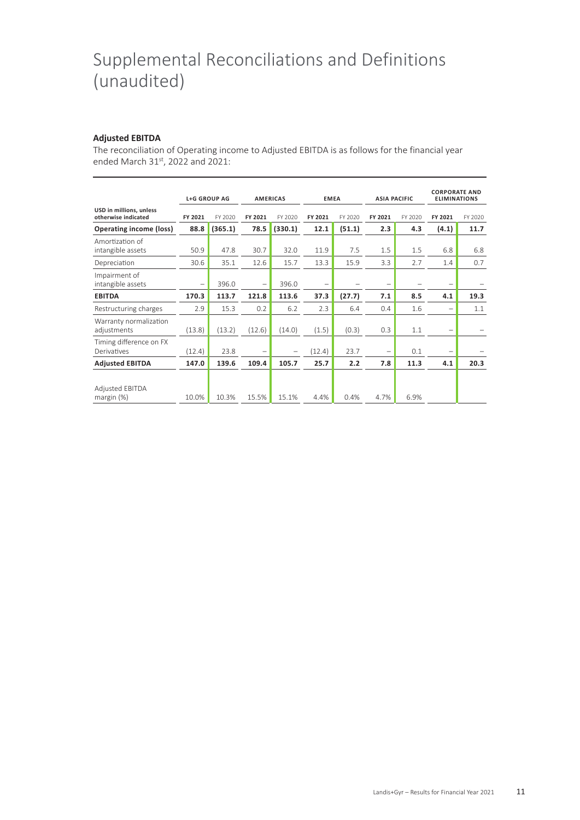## Supplemental Reconciliations and Definitions (unaudited)

#### **Adjusted EBITDA**

The reconciliation of Operating income to Adjusted EBITDA is as follows for the financial year ended March 31st, 2022 and 2021:

|                                                |                          | <b>L+G GROUP AG</b> | <b>AMERICAS</b>          |         | <b>EMEA</b>              |         | <b>ASIA PACIFIC</b>      |         | <b>CORPORATE AND</b><br><b>ELIMINATIONS</b> |         |
|------------------------------------------------|--------------------------|---------------------|--------------------------|---------|--------------------------|---------|--------------------------|---------|---------------------------------------------|---------|
| USD in millions, unless<br>otherwise indicated | FY 2021                  | FY 2020             | FY 2021                  | FY 2020 | FY 2021                  | FY 2020 | FY 2021                  | FY 2020 | FY 2021                                     | FY 2020 |
| <b>Operating income (loss)</b>                 | 88.8                     | (365.1)             | 78.5                     | (330.1) | 12.1                     | (51.1)  | 2.3                      | 4.3     | (4.1)                                       | 11.7    |
| Amortization of<br>intangible assets           | 50.9                     | 47.8                | 30.7                     | 32.0    | 11.9                     | 7.5     | 1.5                      | 1.5     | 6.8                                         | 6.8     |
| Depreciation                                   | 30.6                     | 35.1                | 12.6                     | 15.7    | 13.3                     | 15.9    | 3.3                      | 2.7     | 1.4                                         | 0.7     |
| Impairment of<br>intangible assets             | $\overline{\phantom{0}}$ | 396.0               | $\overline{\phantom{0}}$ | 396.0   | $\overline{\phantom{0}}$ |         | $\overline{\phantom{0}}$ |         |                                             |         |
| <b>EBITDA</b>                                  | 170.3                    | 113.7               | 121.8                    | 113.6   | 37.3                     | (27.7)  | 7.1                      | 8.5     | 4.1                                         | 19.3    |
| Restructuring charges                          | 2.9                      | 15.3                | 0.2                      | 6.2     | 2.3                      | 6.4     | 0.4                      | 1.6     |                                             | 1.1     |
| Warranty normalization<br>adjustments          | (13.8)                   | (13.2)              | (12.6)                   | (14.0)  | (1.5)                    | (0.3)   | 0.3                      | 1.1     | $\qquad \qquad -$                           |         |
| Timing difference on FX<br>Derivatives         | (12.4)                   | 23.8                |                          |         | (12.4)                   | 23.7    | $\overline{\phantom{0}}$ | 0.1     |                                             |         |
| <b>Adjusted EBITDA</b>                         | 147.0                    | 139.6               | 109.4                    | 105.7   | 25.7                     | 2.2     | 7.8                      | 11.3    | 4.1                                         | 20.3    |
| <b>Adjusted EBITDA</b><br>margin $(%)$         | 10.0%                    | 10.3%               | 15.5%                    | 15.1%   | 4.4%                     | 0.4%    | 4.7%                     | 6.9%    |                                             |         |